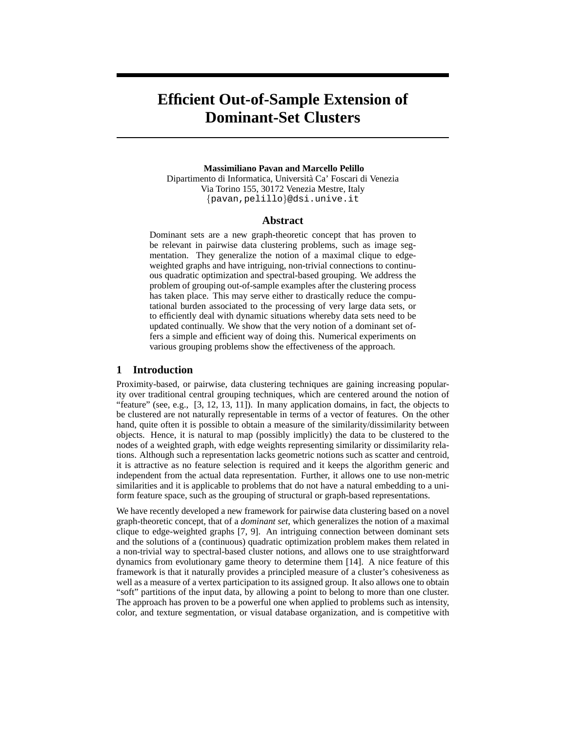# **Efficient Out-of-Sample Extension of Dominant-Set Clusters**

#### **Massimiliano Pavan and Marcello Pelillo**

Dipartimento di Informatica, Universita Ca' Foscari di Venezia ` Via Torino 155, 30172 Venezia Mestre, Italy {pavan,pelillo}@dsi.unive.it

#### **Abstract**

Dominant sets are a new graph-theoretic concept that has proven to be relevant in pairwise data clustering problems, such as image segmentation. They generalize the notion of a maximal clique to edgeweighted graphs and have intriguing, non-trivial connections to continuous quadratic optimization and spectral-based grouping. We address the problem of grouping out-of-sample examples after the clustering process has taken place. This may serve either to drastically reduce the computational burden associated to the processing of very large data sets, or to efficiently deal with dynamic situations whereby data sets need to be updated continually. We show that the very notion of a dominant set offers a simple and efficient way of doing this. Numerical experiments on various grouping problems show the effectiveness of the approach.

## **1 Introduction**

Proximity-based, or pairwise, data clustering techniques are gaining increasing popularity over traditional central grouping techniques, which are centered around the notion of "feature" (see, e.g., [3, 12, 13, 11]). In many application domains, in fact, the objects to be clustered are not naturally representable in terms of a vector of features. On the other hand, quite often it is possible to obtain a measure of the similarity/dissimilarity between objects. Hence, it is natural to map (possibly implicitly) the data to be clustered to the nodes of a weighted graph, with edge weights representing similarity or dissimilarity relations. Although such a representation lacks geometric notions such as scatter and centroid, it is attractive as no feature selection is required and it keeps the algorithm generic and independent from the actual data representation. Further, it allows one to use non-metric similarities and it is applicable to problems that do not have a natural embedding to a uniform feature space, such as the grouping of structural or graph-based representations.

We have recently developed a new framework for pairwise data clustering based on a novel graph-theoretic concept, that of a *dominant set*, which generalizes the notion of a maximal clique to edge-weighted graphs [7, 9]. An intriguing connection between dominant sets and the solutions of a (continuous) quadratic optimization problem makes them related in a non-trivial way to spectral-based cluster notions, and allows one to use straightforward dynamics from evolutionary game theory to determine them [14]. A nice feature of this framework is that it naturally provides a principled measure of a cluster's cohesiveness as well as a measure of a vertex participation to its assigned group. It also allows one to obtain "soft" partitions of the input data, by allowing a point to belong to more than one cluster. The approach has proven to be a powerful one when applied to problems such as intensity, color, and texture segmentation, or visual database organization, and is competitive with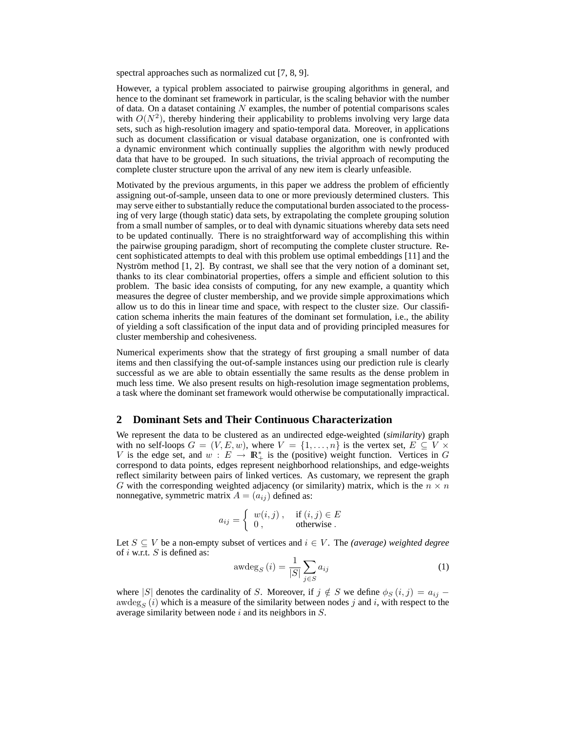spectral approaches such as normalized cut [7, 8, 9].

However, a typical problem associated to pairwise grouping algorithms in general, and hence to the dominant set framework in particular, is the scaling behavior with the number of data. On a dataset containing  $N$  examples, the number of potential comparisons scales with  $O(N^2)$ , thereby hindering their applicability to problems involving very large data sets, such as high-resolution imagery and spatio-temporal data. Moreover, in applications such as document classification or visual database organization, one is confronted with a dynamic environment which continually supplies the algorithm with newly produced data that have to be grouped. In such situations, the trivial approach of recomputing the complete cluster structure upon the arrival of any new item is clearly unfeasible.

Motivated by the previous arguments, in this paper we address the problem of efficiently assigning out-of-sample, unseen data to one or more previously determined clusters. This may serve either to substantially reduce the computational burden associated to the processing of very large (though static) data sets, by extrapolating the complete grouping solution from a small number of samples, or to deal with dynamic situations whereby data sets need to be updated continually. There is no straightforward way of accomplishing this within the pairwise grouping paradigm, short of recomputing the complete cluster structure. Recent sophisticated attempts to deal with this problem use optimal embeddings [11] and the Nyström method  $[1, 2]$ . By contrast, we shall see that the very notion of a dominant set, thanks to its clear combinatorial properties, offers a simple and efficient solution to this problem. The basic idea consists of computing, for any new example, a quantity which measures the degree of cluster membership, and we provide simple approximations which allow us to do this in linear time and space, with respect to the cluster size. Our classification schema inherits the main features of the dominant set formulation, i.e., the ability of yielding a soft classification of the input data and of providing principled measures for cluster membership and cohesiveness.

Numerical experiments show that the strategy of first grouping a small number of data items and then classifying the out-of-sample instances using our prediction rule is clearly successful as we are able to obtain essentially the same results as the dense problem in much less time. We also present results on high-resolution image segmentation problems, a task where the dominant set framework would otherwise be computationally impractical.

## **2 Dominant Sets and Their Continuous Characterization**

We represent the data to be clustered as an undirected edge-weighted (*similarity*) graph with no self-loops  $G = (V, E, w)$ , where  $V = \{1, \ldots, n\}$  is the vertex set,  $E \subseteq V \times$ V is the edge set, and  $w : E \to \mathbb{R}_+^*$  is the (positive) weight function. Vertices in G correspond to data points, edges represent neighborhood relationships, and edge-weights reflect similarity between pairs of linked vertices. As customary, we represent the graph G with the corresponding weighted adjacency (or similarity) matrix, which is the  $n \times n$ nonnegative, symmetric matrix  $A = (a_{ij})$  defined as:

$$
a_{ij} = \begin{cases} w(i,j) , & \text{if } (i,j) \in E \\ 0 , & \text{otherwise} . \end{cases}
$$

Let  $S \subseteq V$  be a non-empty subset of vertices and  $i \in V$ . The *(average) weighted degree* of  $i$  w.r.t.  $S$  is defined as:

$$
\operatorname{awdeg}_S(i) = \frac{1}{|S|} \sum_{j \in S} a_{ij} \tag{1}
$$

where |S| denotes the cardinality of S. Moreover, if  $j \notin S$  we define  $\phi_S(i,j) = a_{ij}$  − awdeg<sub>*S*</sub> (i) which is a measure of the similarity between nodes j and i, with respect to the average similarity between node  $i$  and its neighbors in  $S$ .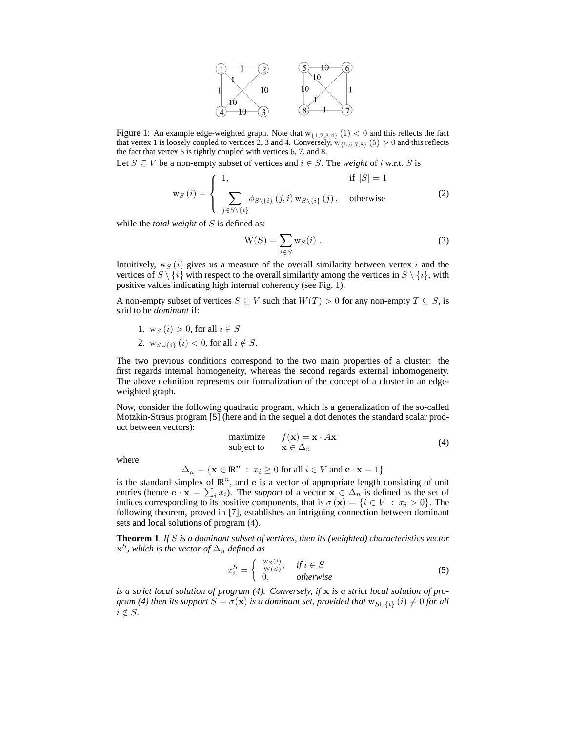

Figure 1: An example edge-weighted graph. Note that  $w_{\{1,2,3,4\}}(1) < 0$  and this reflects the fact that vertex 1 is loosely coupled to vertices 2, 3 and 4. Conversely,  $w_{\{5,6,7,8\}}(5) > 0$  and this reflects the fact that vertex 5 is tightly coupled with vertices 6, 7, and 8.

Let  $S \subseteq V$  be a non-empty subset of vertices and  $i \in S$ . The *weight* of i w.r.t. S is

$$
\mathbf{w}_{S}\left(i\right) = \begin{cases} 1, & \text{if } |S| = 1\\ \sum_{j \in S \setminus \{i\}} \phi_{S \setminus \{i\}}\left(j, i\right) \mathbf{w}_{S \setminus \{i\}}\left(j\right), & \text{otherwise} \end{cases} \tag{2}
$$

while the *total weight* of S is defined as:

$$
W(S) = \sum_{i \in S} w_S(i).
$$
 (3)

Intuitively,  $w_S(i)$  gives us a measure of the overall similarity between vertex i and the vertices of  $S \setminus \{i\}$  with respect to the overall similarity among the vertices in  $S \setminus \{i\}$ , with positive values indicating high internal coherency (see Fig. 1).

A non-empty subset of vertices  $S \subseteq V$  such that  $W(T) > 0$  for any non-empty  $T \subseteq S$ , is said to be *dominant* if:

\n- 1. 
$$
w_S(i) > 0
$$
, for all  $i \in S$
\n- 2.  $w_{S \cup \{i\}}(i) < 0$ , for all  $i \notin S$ .
\n

The two previous conditions correspond to the two main properties of a cluster: the first regards internal homogeneity, whereas the second regards external inhomogeneity. The above definition represents our formalization of the concept of a cluster in an edgeweighted graph.

Now, consider the following quadratic program, which is a generalization of the so-called Motzkin-Straus program [5] (here and in the sequel a dot denotes the standard scalar product between vectors):

maximize 
$$
f(\mathbf{x}) = \mathbf{x} \cdot A\mathbf{x}
$$
  
subject to  $\mathbf{x} \in \Delta_n$  (4)

where

$$
\Delta_n = \{ \mathbf{x} \in \mathbb{R}^n : x_i \ge 0 \text{ for all } i \in V \text{ and } \mathbf{e} \cdot \mathbf{x} = 1 \}
$$

is the standard simplex of IR*<sup>n</sup>*, and **e** is a vector of appropriate length consisting of unit entries (hence  $\mathbf{e} \cdot \mathbf{x} = \sum_i x_i$ ). The *support* of a vector  $\mathbf{x} \in \Delta_n$  is defined as the set of indices corresponding to its positive components, that is  $\sigma(\mathbf{x}) = \{i \in V : x_i > 0\}$ . The following theorem, proved in [7], establishes an intriguing connection between dominant sets and local solutions of program (4).

**Theorem 1** *If* S *is a dominant subset of vertices, then its (weighted) characteristics vector*  $\mathbf{x}^S$ *, which is the vector of*  $\Delta_n$  *defined as* 

$$
x_i^S = \begin{cases} \frac{\mathbf{w}_S(i)}{\mathbf{W}(S)}, & \text{if } i \in S \\ 0, & \text{otherwise} \end{cases}
$$
 (5)

*is a strict local solution of program (4). Conversely, if* **x** *is a strict local solution of program* (4) then its support  $S = \sigma(\mathbf{x})$  *is a dominant set, provided that*  $w_{S \cup \{i\}}(i) \neq 0$  *for all*  $i \notin S$ .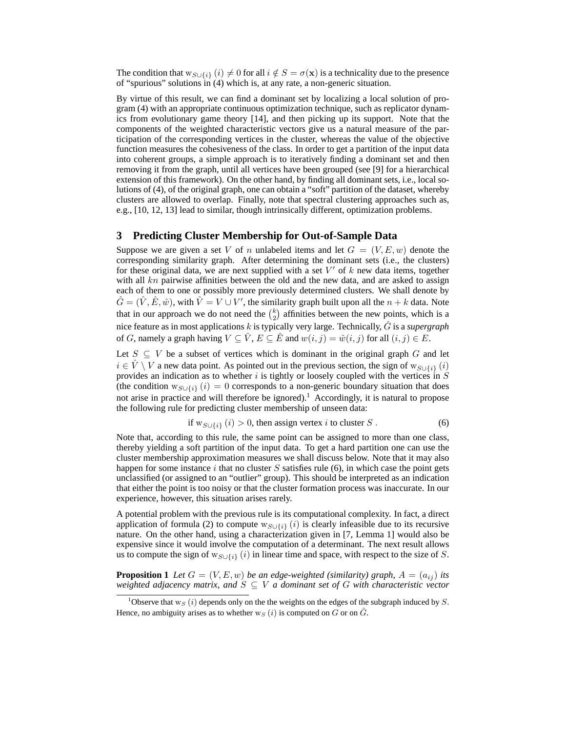The condition that  $w_{S\cup\{i\}}(i) \neq 0$  for all  $i \notin S = \sigma(\mathbf{x})$  is a technicality due to the presence of "spurious" solutions in (4) which is, at any rate, a non-generic situation.

By virtue of this result, we can find a dominant set by localizing a local solution of program (4) with an appropriate continuous optimization technique, such as replicator dynamics from evolutionary game theory [14], and then picking up its support. Note that the components of the weighted characteristic vectors give us a natural measure of the participation of the corresponding vertices in the cluster, whereas the value of the objective function measures the cohesiveness of the class. In order to get a partition of the input data into coherent groups, a simple approach is to iteratively finding a dominant set and then removing it from the graph, until all vertices have been grouped (see [9] for a hierarchical extension of this framework). On the other hand, by finding all dominant sets, i.e., local solutions of (4), of the original graph, one can obtain a "soft" partition of the dataset, whereby clusters are allowed to overlap. Finally, note that spectral clustering approaches such as, e.g., [10, 12, 13] lead to similar, though intrinsically different, optimization problems.

## **3 Predicting Cluster Membership for Out-of-Sample Data**

Suppose we are given a set V of n unlabeled items and let  $G = (V, E, w)$  denote the corresponding similarity graph. After determining the dominant sets (i.e., the clusters) for these original data, we are next supplied with a set  $V'$  of k new data items, together with all  $kn$  pairwise affinities between the old and the new data, and are asked to assign each of them to one or possibly more previously determined clusters. We shall denote by  $\hat{G} = (\hat{V}, \hat{E}, \hat{w})$ , with  $\hat{V} = V \cup V'$ , the similarity graph built upon all the  $n + k$  data. Note that in our approach we do not need the  $\binom{k}{2}$  affinities between the new points, which is a nice feature as in most applications  $k$  is typically very large. Technically,  $\hat{G}$  is a *supergraph* of G, namely a graph having  $V \subseteq \hat{V}$ ,  $E \subseteq \hat{E}$  and  $w(i, j) = \hat{w}(i, j)$  for all  $(i, j) \in E$ .

Let  $S \subseteq V$  be a subset of vertices which is dominant in the original graph G and let  $i \in \hat{V} \setminus V$  a new data point. As pointed out in the previous section, the sign of w<sub>S∪{*i*}</sub> (*i*) provides an indication as to whether  $i$  is tightly or loosely coupled with the vertices in  $S$ (the condition  $w_{S\cup\{i\}}(i)=0$  corresponds to a non-generic boundary situation that does not arise in practice and will therefore be ignored).<sup>1</sup> Accordingly, it is natural to propose the following rule for predicting cluster membership of unseen data:

if 
$$
w_{S \cup \{i\}}(i) > 0
$$
, then assign vertex *i* to cluster *S*. (6)

Note that, according to this rule, the same point can be assigned to more than one class, thereby yielding a soft partition of the input data. To get a hard partition one can use the cluster membership approximation measures we shall discuss below. Note that it may also happen for some instance i that no cluster  $S$  satisfies rule (6), in which case the point gets unclassified (or assigned to an "outlier" group). This should be interpreted as an indication that either the point is too noisy or that the cluster formation process was inaccurate. In our experience, however, this situation arises rarely.

A potential problem with the previous rule is its computational complexity. In fact, a direct application of formula (2) to compute  $w_{S\cup\{i\}}(i)$  is clearly infeasible due to its recursive nature. On the other hand, using a characterization given in [7, Lemma 1] would also be expensive since it would involve the computation of a determinant. The next result allows us to compute the sign of  $w_{S\cup\{i\}}(i)$  in linear time and space, with respect to the size of S.

**Proposition 1** Let  $G = (V, E, w)$  be an edge-weighted (similarity) graph,  $A = (a_{ij})$  its *weighted adjacency matrix, and* S ⊆ V *a dominant set of* G *with characteristic vector*

<sup>&</sup>lt;sup>1</sup>Observe that  $w_S(i)$  depends only on the the weights on the edges of the subgraph induced by *S*. Hence, no ambiguity arises as to whether  $w_S(i)$  is computed on *G* or on  $\tilde{G}$ .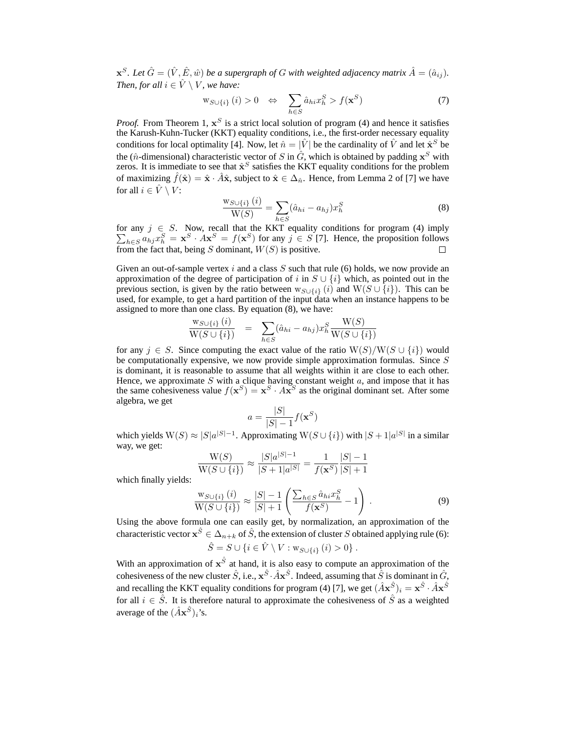$\mathbf{x}^S$ *. Let*  $\hat{G} = (\hat{V}, \hat{E}, \hat{w})$  *be a supergraph of G with weighted adjacency matrix*  $\hat{A} = (\hat{a}_{ij})$ *. Then, for all*  $i \in \hat{V} \setminus V$ *, we have:* 

$$
\mathbf{w}_{S \cup \{i\}}(i) > 0 \quad \Leftrightarrow \quad \sum_{h \in S} \hat{a}_{hi} x_h^S > f(\mathbf{x}^S) \tag{7}
$$

*Proof.* From Theorem 1,  $x^S$  is a strict local solution of program (4) and hence it satisfies the Karush-Kuhn-Tucker (KKT) equality conditions, i.e., the first-order necessary equality conditions for local optimality [4]. Now, let  $\hat{n} = |\hat{V}|$  be the cardinality of  $\hat{V}$  and let  $\hat{\mathbf{x}}^S$  be the ( $\hat{n}$ -dimensional) characteristic vector of S in  $\hat{G}$ , which is obtained by padding  $\mathbf{x}^S$  with zeros. It is immediate to see that  $\hat{\mathbf{x}}^S$  satisfies the KKT equality conditions for the problem of maximizing  $\hat{f}(\hat{x}) = \hat{x} \cdot \hat{A}\hat{x}$ , subject to  $\hat{x} \in \Delta_{\hat{n}}$ . Hence, from Lemma 2 of [7] we have for all  $i \in \hat{V} \setminus V$ :

$$
\frac{w_{S \cup \{i\}}(i)}{W(S)} = \sum_{h \in S} (\hat{a}_{hi} - a_{hj}) x_h^S
$$
 (8)

for any  $j \in S$ . Now, recall that the KKT of  $\sum$  $j \in S$ . Now, recall that the KKT equality conditions for program (4) imply  $h \in S$   $a_{hj}$  $x_h^S$  =  $\mathbf{x}^S \cdot A\mathbf{x}^S = f(\mathbf{x}^S)$  for any  $j \in S$  [7]. Hence, the proposition follows from the fact that, being S dominant,  $W(S)$  is positive.

Given an out-of-sample vertex i and a class  $S$  such that rule (6) holds, we now provide an approximation of the degree of participation of i in  $S \cup \{i\}$  which, as pointed out in the previous section, is given by the ratio between  $w_{S\cup\{i\}}(i)$  and  $W(S\cup\{i\})$ . This can be used, for example, to get a hard partition of the input data when an instance happens to be assigned to more than one class. By equation (8), we have:

$$
\frac{\mathbf{w}_{S\cup\{i\}}(i)}{\mathbf{W}(S\cup\{i\})} = \sum_{h\in S} (\hat{a}_{hi} - a_{hj}) x_h^S \frac{\mathbf{W}(S)}{\mathbf{W}(S\cup\{i\})}
$$

for any  $j \in S$ . Since computing the exact value of the ratio  $W(S)/W(S \cup \{i\})$  would be computationally expensive, we now provide simple approximation formulas. Since S is dominant, it is reasonable to assume that all weights within it are close to each other. Hence, we approximate  $S$  with a clique having constant weight  $a$ , and impose that it has the same cohesiveness value  $f(\mathbf{x}^S) = \mathbf{x}^S \cdot A \mathbf{x}^S$  as the original dominant set. After some algebra, we get

$$
a = \frac{|S|}{|S| - 1} f(\mathbf{x}^S)
$$

which yields  $W(S) \approx |S|a^{|S|-1}$ . Approximating  $W(S \cup \{i\})$  with  $|S+1|a^{|S|}$  in a similar way, we get:

$$
\frac{W(S)}{W(S \cup \{i\})} \approx \frac{|S|a^{|S|-1}}{|S+1|a^{|S|}} = \frac{1}{f(\mathbf{x}^S)} \frac{|S|-1}{|S|+1}
$$

which finally yields:

$$
\frac{\mathbf{w}_{S \cup \{i\}}(i)}{\mathbf{W}(S \cup \{i\})} \approx \frac{|S| - 1}{|S| + 1} \left( \frac{\sum_{h \in S} \hat{a}_{hi} x_h^S}{f(\mathbf{x}^S)} - 1 \right) . \tag{9}
$$

Using the above formula one can easily get, by normalization, an approximation of the characteristic vector  $\mathbf{x}^{\hat{S}} \in \Delta_{n+k}$  of  $\hat{S}$ , the extension of cluster S obtained applying rule (6):  $\hat{S} = S \cup \{i \in \hat{V} \setminus V : w_{S \cup \{i\}}(i) > 0\}.$ 

With an approximation of  $x^{\hat{S}}$  at hand, it is also easy to compute an approximation of the cohesiveness of the new cluster  $\hat{S}$ , i.e.,  $\mathbf{x}^{\hat{S}} \cdot \hat{A} \mathbf{x}^{\hat{S}}$ . Indeed, assuming that  $\hat{S}$  is dominant in  $\hat{G}$ , and recalling the KKT equality conditions for program (4) [7], we get  $(\hat{A}x^{\hat{S}})_i = x^{\hat{S}} \cdot \hat{A}x^{\hat{S}}$ for all  $i \in \hat{S}$ . It is therefore natural to approximate the cohesiveness of  $\hat{S}$  as a weighted average of the  $(\hat{A} \mathbf{x}^{\hat{S}})_{i}$ 's.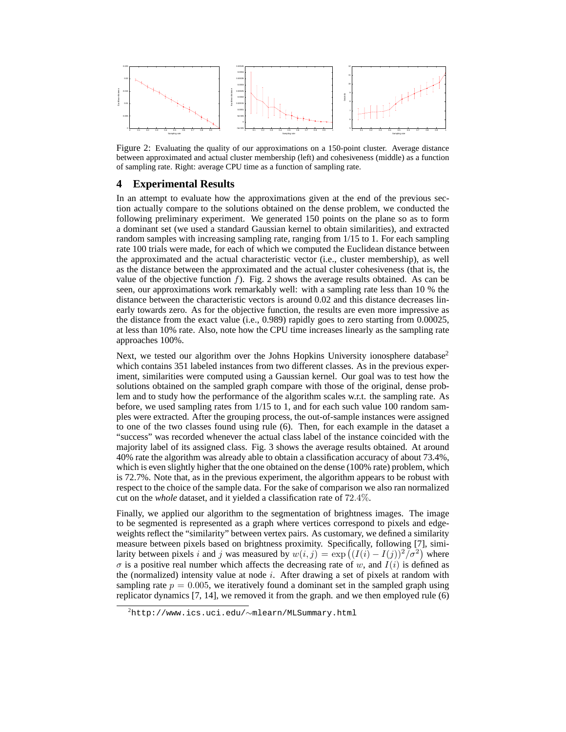

Figure 2: Evaluating the quality of our approximations on a 150-point cluster. Average distance between approximated and actual cluster membership (left) and cohesiveness (middle) as a function of sampling rate. Right: average CPU time as a function of sampling rate.

## **4 Experimental Results**

In an attempt to evaluate how the approximations given at the end of the previous section actually compare to the solutions obtained on the dense problem, we conducted the following preliminary experiment. We generated 150 points on the plane so as to form a dominant set (we used a standard Gaussian kernel to obtain similarities), and extracted random samples with increasing sampling rate, ranging from 1/15 to 1. For each sampling rate 100 trials were made, for each of which we computed the Euclidean distance between the approximated and the actual characteristic vector (i.e., cluster membership), as well as the distance between the approximated and the actual cluster cohesiveness (that is, the value of the objective function  $f$ ). Fig. 2 shows the average results obtained. As can be seen, our approximations work remarkably well: with a sampling rate less than 10 % the distance between the characteristic vectors is around 0.02 and this distance decreases linearly towards zero. As for the objective function, the results are even more impressive as the distance from the exact value (i.e., 0.989) rapidly goes to zero starting from 0.00025, at less than 10% rate. Also, note how the CPU time increases linearly as the sampling rate approaches 100%.

Next, we tested our algorithm over the Johns Hopkins University ionosphere database<sup>2</sup> which contains 351 labeled instances from two different classes. As in the previous experiment, similarities were computed using a Gaussian kernel. Our goal was to test how the solutions obtained on the sampled graph compare with those of the original, dense problem and to study how the performance of the algorithm scales w.r.t. the sampling rate. As before, we used sampling rates from 1/15 to 1, and for each such value 100 random samples were extracted. After the grouping process, the out-of-sample instances were assigned to one of the two classes found using rule (6). Then, for each example in the dataset a "success" was recorded whenever the actual class label of the instance coincided with the majority label of its assigned class. Fig. 3 shows the average results obtained. At around 40% rate the algorithm was already able to obtain a classification accuracy of about 73.4%, which is even slightly higher that the one obtained on the dense (100% rate) problem, which is 72.7%. Note that, as in the previous experiment, the algorithm appears to be robust with respect to the choice of the sample data. For the sake of comparison we also ran normalized cut on the *whole* dataset, and it yielded a classification rate of 72.4%.

Finally, we applied our algorithm to the segmentation of brightness images. The image to be segmented is represented as a graph where vertices correspond to pixels and edgeweights reflect the "similarity" between vertex pairs. As customary, we defined a similarity measure between pixels based on brightness proximity. Specifically, following [7], similarity between pixels i and j was measured by  $w(i, j) = \exp((I(i) - I(j))^2/\sigma^2)$  where  $\sigma$  is a positive real number which affects the decreasing rate of w, and  $I(i)$  is defined as the (normalized) intensity value at node  $i$ . After drawing a set of pixels at random with sampling rate  $p = 0.005$ , we iteratively found a dominant set in the sampled graph using replicator dynamics [7, 14], we removed it from the graph. and we then employed rule (6)

<sup>2</sup> http://www.ics.uci.edu/∼mlearn/MLSummary.html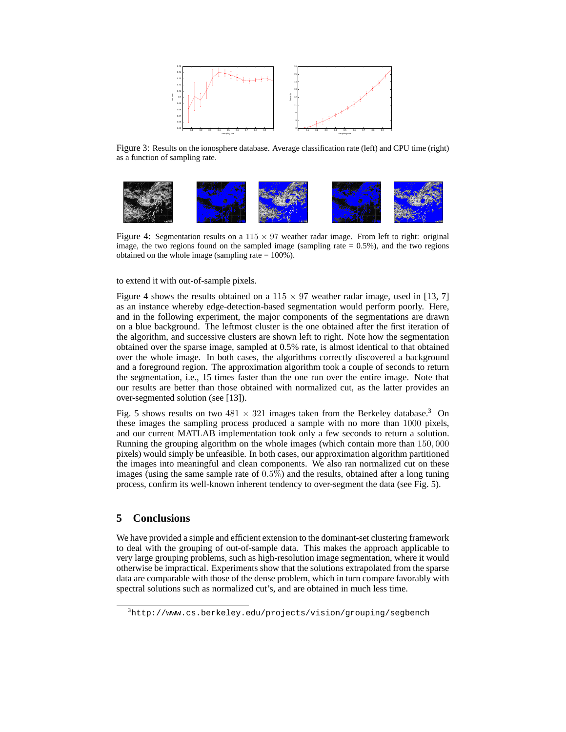

Figure 3: Results on the ionosphere database. Average classification rate (left) and CPU time (right) as a function of sampling rate.



Figure 4: Segmentation results on a  $115 \times 97$  weather radar image. From left to right: original image, the two regions found on the sampled image (sampling rate  $= 0.5\%$ ), and the two regions obtained on the whole image (sampling rate  $= 100\%$ ).

to extend it with out-of-sample pixels.

Figure 4 shows the results obtained on a  $115 \times 97$  weather radar image, used in [13, 7] as an instance whereby edge-detection-based segmentation would perform poorly. Here, and in the following experiment, the major components of the segmentations are drawn on a blue background. The leftmost cluster is the one obtained after the first iteration of the algorithm, and successive clusters are shown left to right. Note how the segmentation obtained over the sparse image, sampled at 0.5% rate, is almost identical to that obtained over the whole image. In both cases, the algorithms correctly discovered a background and a foreground region. The approximation algorithm took a couple of seconds to return the segmentation, i.e., 15 times faster than the one run over the entire image. Note that our results are better than those obtained with normalized cut, as the latter provides an over-segmented solution (see [13]).

Fig. 5 shows results on two  $481 \times 321$  images taken from the Berkeley database.<sup>3</sup> On these images the sampling process produced a sample with no more than 1000 pixels, and our current MATLAB implementation took only a few seconds to return a solution. Running the grouping algorithm on the whole images (which contain more than 150, 000 pixels) would simply be unfeasible. In both cases, our approximation algorithm partitioned the images into meaningful and clean components. We also ran normalized cut on these images (using the same sample rate of 0.5%) and the results, obtained after a long tuning process, confirm its well-known inherent tendency to over-segment the data (see Fig. 5).

# **5 Conclusions**

We have provided a simple and efficient extension to the dominant-set clustering framework to deal with the grouping of out-of-sample data. This makes the approach applicable to very large grouping problems, such as high-resolution image segmentation, where it would otherwise be impractical. Experiments show that the solutions extrapolated from the sparse data are comparable with those of the dense problem, which in turn compare favorably with spectral solutions such as normalized cut's, and are obtained in much less time.

<sup>3</sup> http://www.cs.berkeley.edu/projects/vision/grouping/segbench